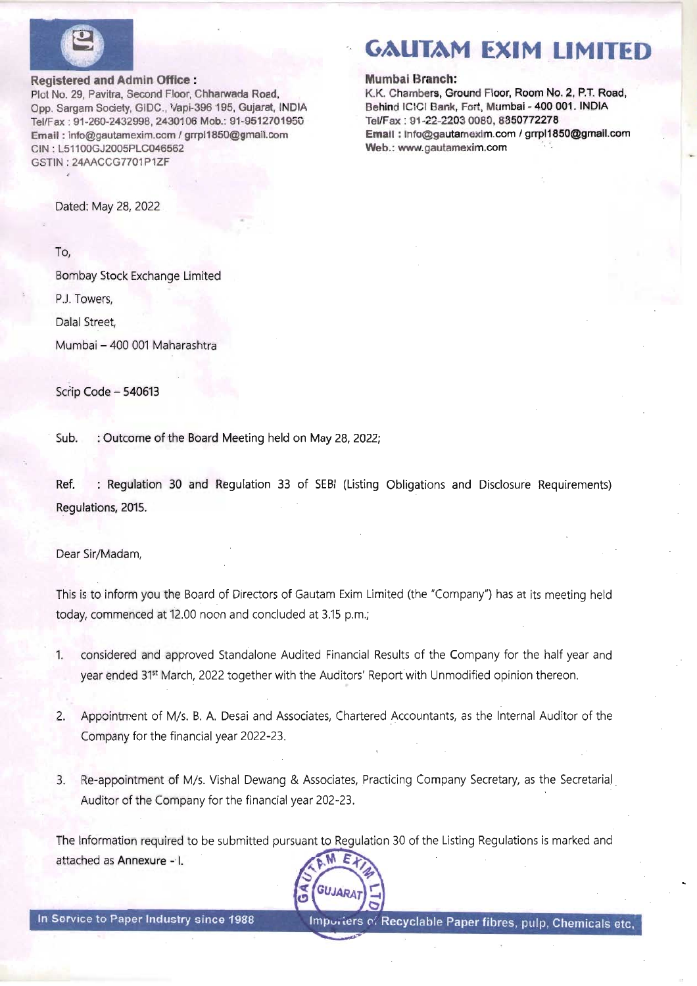

#### Registered and Admin Office :

Plot No. 29, Pavitra, Second Floor, Chharwada Road, Opp. Sargam Society, GIDC., Vapi-396 195, Gujarat, INDIA Tel/Fax : 91-260-2432998, 2430106 Mob.: 91-9512701950 Email : info@gautamexim.com / grrpl1850@gmail.com CIN : L51100GJ2005PLC046562 GSTIN: 24AACCG7701P1ZF

Dated: May 28, 2022

To,

Bombay Stock Exchange Limited P.J. Towers,

Dalal Street,

Mumbai — 400 001 Maharashtra

Scrip Code — 540613

Sub. : Outcome of the Board Meeting held on May 28, 2022;

Ref, : Regulation 30 and Regulation 33 of SEBI (Listing Obligations and Disclosure Requirements) Regulations, 2015.

Dear Sir/Madam,

This is to inform you the Board of Directors of Gautam Exim Limited (the "Company") has at its meeting held today, commenced at 12.00 noon and concluded at 3.15 p.m.;

- 1. considered and approved Standalone Audited Financial Results of the Company for the half year and year ended 31\* March, 2022 together with the Auditors' Report with Unmodified opinion thereon.
- 2. Appointment of M/s. B. A. Desai and Associates, Chartered Accountants, as the Internal Auditor of the Company for the financial year 2022-23.
- 3. Re-appointment of M/s. Vishal Dewang & Associates, Practicing Company Secretary, as the Secretarial Auditor of the Company for the financial year 202-23.

The Information required to be submitted pursuant to Regulation 30 of the Listing Regulations is marked and attached as Annexure -'I. Ε



# GAUTAM EXIM LIMITED

#### Mumbai Branch:

K.K. Chambers, Ground Floor, Room No. 2, P.T. Road, Behind ICICI Bank, Fort, Mumbai - 400 001. INDIA Tel/Fax : 91-22-2203 0080, 8850772278 Email : info@gautamexim.com / grrp|1850@gmail.com Web.: www.gautamexim.com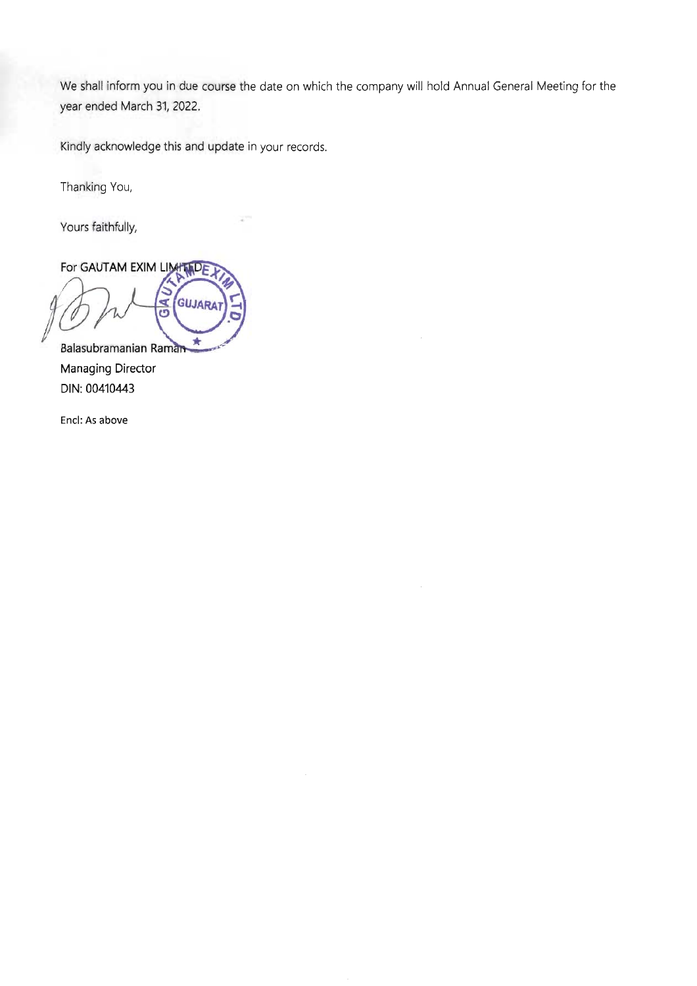We shall inform you in due course the date on which the company will hold Annual General Meeting for the year ended March 31, 2022.

Kindly acknowledge this and update in your records.

Thanking You,

Yours faithfully,

For GAUTAM EXIM LIMIT DE GUJARA ₹ õ ŵ

Balasubramanian Ram Managing Director DIN: 00410443

Encl: As above